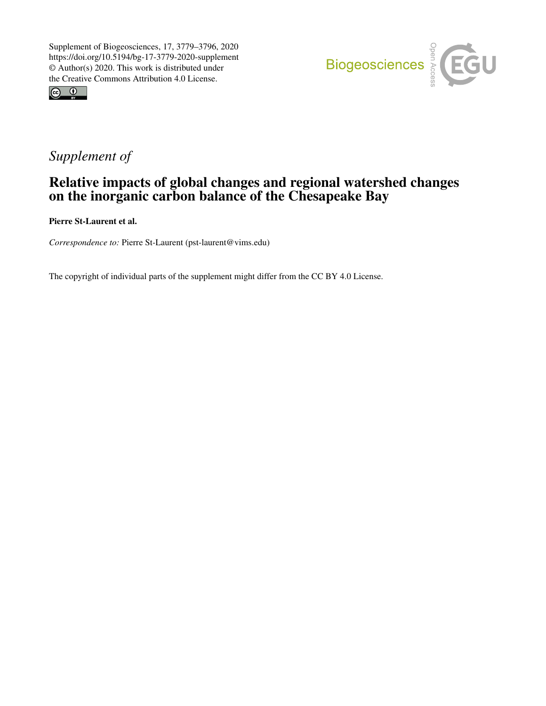



# *Supplement of*

# Relative impacts of global changes and regional watershed changes on the inorganic carbon balance of the Chesapeake Bay

Pierre St-Laurent et al.

*Correspondence to:* Pierre St-Laurent (pst-laurent@vims.edu)

The copyright of individual parts of the supplement might differ from the CC BY 4.0 License.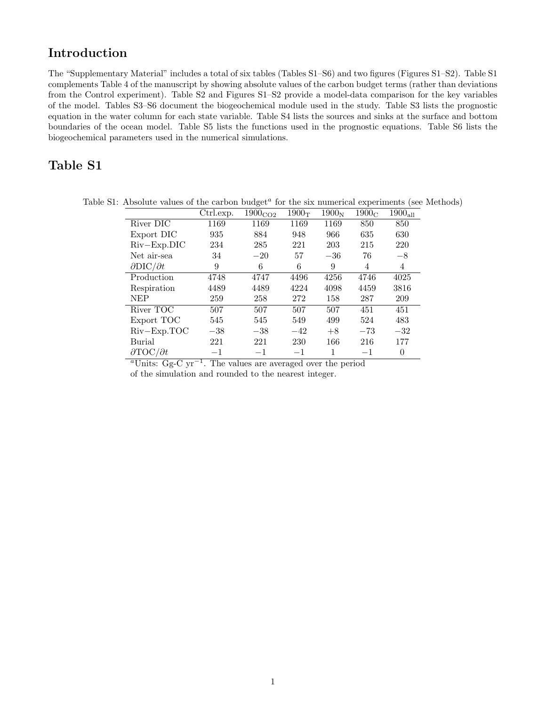### Introduction

The "Supplementary Material" includes a total of six tables (Tables S1–S6) and two figures (Figures S1–S2). Table S1 complements Table 4 of the manuscript by showing absolute values of the carbon budget terms (rather than deviations from the Control experiment). Table S2 and Figures S1–S2 provide a model-data comparison for the key variables of the model. Tables S3–S6 document the biogeochemical module used in the study. Table S3 lists the prognostic equation in the water column for each state variable. Table S4 lists the sources and sinks at the surface and bottom boundaries of the ocean model. Table S5 lists the functions used in the prognostic equations. Table S6 lists the biogeochemical parameters used in the numerical simulations.

### Table S1

| Trosofute values of the earboil budget for the six infinencial experiments (see it |           |                     |                   |                   |                   |              |
|------------------------------------------------------------------------------------|-----------|---------------------|-------------------|-------------------|-------------------|--------------|
|                                                                                    | Ctrl.exp. | 1900 <sub>CO2</sub> | 1900 <sub>T</sub> | 1900 <sub>N</sub> | 1900 <sub>C</sub> | $1900_{all}$ |
| River DIC                                                                          | 1169      | 1169                | 1169              | 1169              | 850               | 850          |
| Export DIC                                                                         | 935       | 884                 | 948               | 966               | 635               | 630          |
| $Riv$ – $Exp.DIC$                                                                  | 234       | 285                 | 221               | 203               | 215               | 220          |
| Net air-sea                                                                        | 34        | $-20$               | 57                | $-36$             | 76                | $-8$         |
| $\partial \text{DIC}/\partial t$                                                   | 9         | 6                   | 6                 | 9                 | 4                 | 4            |
| Production                                                                         | 4748      | 4747                | 4496              | 4256              | 4746              | 4025         |
| Respiration                                                                        | 4489      | 4489                | 4224              | 4098              | 4459              | 3816         |
| NEP                                                                                | 259       | 258                 | 272               | 158               | 287               | 209          |
| River TOC                                                                          | 507       | 507                 | 507               | 507               | 451               | 451          |
| Export TOC                                                                         | 545       | 545                 | 549               | 499               | 524               | 483          |
| $Riv-Exp.TOC$                                                                      | $-38$     | $-38$               | $-42$             | $+8$              | $-73$             | $-32$        |
| Burial                                                                             | 221       | 221                 | 230               | 166               | 216               | 177          |
| $\partial \text{TOC}/\partial t$                                                   | $-1$      | $-1$                | $-1$              |                   | $-1$              | $\theta$     |
|                                                                                    |           |                     |                   |                   |                   |              |

Table S1: Absolute values of the carbon budget<sup> $a$ </sup> for the six numerical experiments (see Methods)

 $a$ Units: Gg-C yr<sup>-1</sup>. The values are averaged over the period

of the simulation and rounded to the nearest integer.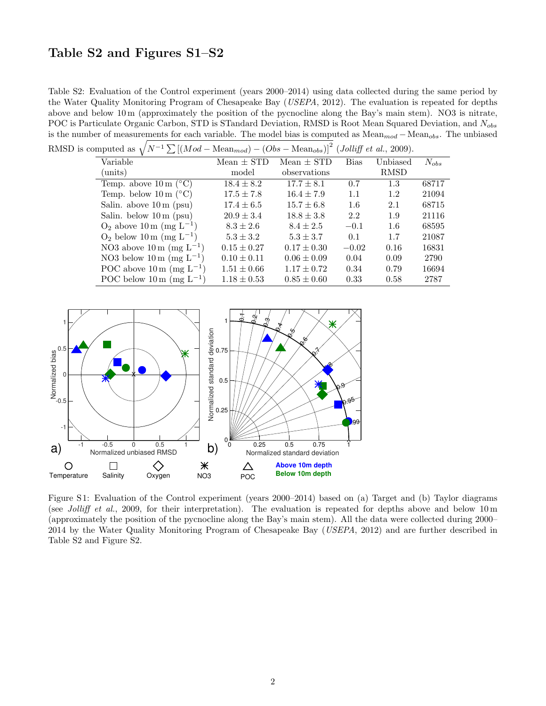#### Table S2 and Figures S1–S2

Table S2: Evaluation of the Control experiment (years 2000–2014) using data collected during the same period by the Water Quality Monitoring Program of Chesapeake Bay (USEPA, 2012). The evaluation is repeated for depths above and below 10 m (approximately the position of the pycnocline along the Bay's main stem). NO3 is nitrate, POC is Particulate Organic Carbon, STD is STandard Deviation, RMSD is Root Mean Squared Deviation, and N<sub>obs</sub> is the number of measurements for each variable. The model bias is computed as Mean<sub>mod</sub> − Mean<sub>obs</sub>. The unbiased  $\sqrt{N-1\sum (M_{\rm od} - M_{\rm eas})^2 + (O_{\rm tot} - M_{\rm eas})^2}$  $\sqrt{12}$  (*t U*: *Cf* + 1, 2000).

| RMSD is computed as $\sqrt{N^{-1}\sum [(Mod - Mean_{mod}) - (Obs - Mean_{obs})]^2}$ ( <i>Jolliff et al.</i> , 2009). |                 |                 |             |             |           |  |
|----------------------------------------------------------------------------------------------------------------------|-----------------|-----------------|-------------|-------------|-----------|--|
| Variable                                                                                                             | $Mean \pm STD$  | $Mean \pm STD$  | <b>Bias</b> | Unbiased    | $N_{obs}$ |  |
| $\text{(units)}$                                                                                                     | model           | observations    |             | <b>RMSD</b> |           |  |
| Temp. above $10 \text{ m}$ (°C)                                                                                      | $18.4 \pm 8.2$  | $17.7 \pm 8.1$  | 0.7         | 1.3         | 68717     |  |
| Temp. below $10 \text{ m}$ (°C)                                                                                      | $17.5 \pm 7.8$  | $16.4 \pm 7.9$  | 1.1         | 1.2         | 21094     |  |
| Salin. above $10 \text{ m}$ (psu)                                                                                    | $17.4 \pm 6.5$  | $15.7 \pm 6.8$  | 1.6         | 2.1         | 68715     |  |
| Salin. below $10 \text{ m}$ (psu)                                                                                    | $20.9 \pm 3.4$  | $18.8 \pm 3.8$  | 2.2         | 1.9         | 21116     |  |
| $O_2$ above 10 m (mg L <sup>-1</sup> )                                                                               | $8.3 \pm 2.6$   | $8.4 \pm 2.5$   | $-0.1$      | 1.6         | 68595     |  |
| $O_2$ below 10 m (mg L <sup>-1</sup> )                                                                               | $5.3 \pm 3.2$   | $5.3 \pm 3.7$   | 0.1         | 1.7         | 21087     |  |
| NO3 above $10 \text{ m (mg L}^{-1})$                                                                                 | $0.15 \pm 0.27$ | $0.17 \pm 0.30$ | $-0.02$     | 0.16        | 16831     |  |
| NO3 below 10 m (mg $L^{-1}$ )                                                                                        | $0.10 \pm 0.11$ | $0.06 \pm 0.09$ | 0.04        | 0.09        | 2790      |  |
| POC above $10 \text{ m (mg L}^{-1})$                                                                                 | $1.51 \pm 0.66$ | $1.17 \pm 0.72$ | 0.34        | 0.79        | 16694     |  |
| POC below 10 m (mg $L^{-1}$ )                                                                                        | $1.18 \pm 0.53$ | $0.85 \pm 0.60$ | 0.33        | 0.58        | 2787      |  |



Figure S 1: Evaluation of the Control experiment (years 2000–2014) based on (a) Target and (b) Taylor diagrams (see Jolliff et al., 2009, for their interpretation). The evaluation is repeated for depths above and below 10 m (approximately the position of the pycnocline along the Bay's main stem). All the data were collected during 2000– 2014 by the Water Quality Monitoring Program of Chesapeake Bay (USEPA, 2012) and are further described in Table S2 and Figure S2.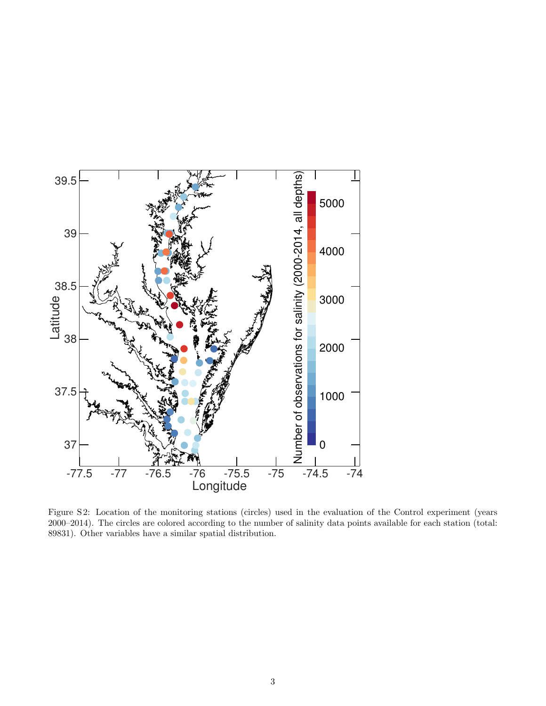

Figure S 2: Location of the monitoring stations (circles) used in the evaluation of the Control experiment (years 2000–2014). The circles are colored according to the number of salinity data points available for each station (total: 89831). Other variables have a similar spatial distribution.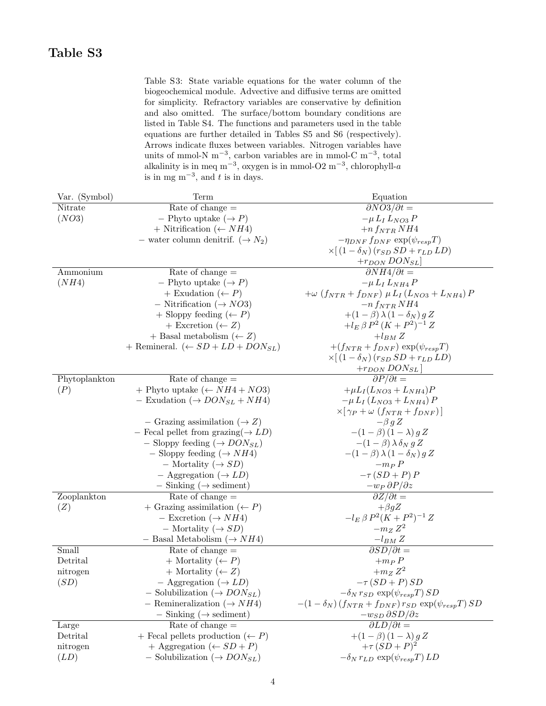Table S3: State variable equations for the water column of the biogeochemical module. Advective and diffusive terms are omitted for simplicity. Refractory variables are conservative by definition and also omitted. The surface/bottom boundary conditions are listed in Table S4. The functions and parameters used in the table equations are further detailed in Tables S5 and S6 (respectively). Arrows indicate fluxes between variables. Nitrogen variables have units of mmol-N m−<sup>3</sup> , carbon variables are in mmol-C m−<sup>3</sup> , total alkalinity is in meq m<sup>-3</sup>, oxygen is in mmol-O2 m<sup>-3</sup>, chlorophyll-a is in mg m<sup>-3</sup>, and t is in days.

| Var. (Symbol) | Term                                                               | Equation                                                            |
|---------------|--------------------------------------------------------------------|---------------------------------------------------------------------|
| Nitrate       | Rate of change $=$                                                 | $\partial NO3/\partial t=$                                          |
| (NO3)         | -- Phyto uptake $(\rightarrow P)$                                  | $-\mu L_I L_{NO3} P$                                                |
|               | + Nitrification ( $\leftarrow$ NH4)                                | $+n f_{NTR} N H4$                                                   |
|               | - water column denitrif. $(\rightarrow N_2)$                       | $-\eta_{DNF} f_{DNF} \exp(\psi_{resp} T)$                           |
|               |                                                                    | $\times [(1-\delta_N)(r_{SD} SD + r_{LD} LD)]$                      |
|               |                                                                    | $+r_{DON}$ $DON_{SL}$                                               |
| Ammonium      | Rate of change $=$                                                 | $\partial NH4/\partial t=$                                          |
| (NH4)         | -- Phyto uptake $(\rightarrow P)$                                  | $-\mu L_I L_{NH4} P$                                                |
|               | + Exudation $(\leftarrow P)$                                       | $+\omega$ $(f_{NTR} + f_{DNF})$ $\mu$ $L_I$ $(L_{NO3} + L_{NH4})$ P |
|               | - Nitrification ( $\rightarrow NO3$ )                              | $-n f_{NTR} N H4$                                                   |
|               | $+$ Sloppy feeding $\leftarrow P$ )                                | $+(1-\beta)\lambda(1-\delta_N)gZ$                                   |
|               | + Excretion $(\leftarrow Z)$                                       | $+ l_E \beta P^2 (K + P^2)^{-1} Z$                                  |
|               | + Basal metabolism ( $\leftarrow$ Z)                               | $+ l_{BM} Z$                                                        |
|               | + Remineral. $(\leftarrow SD + LD + DON_{SL})$                     | $+(f_{NTR}+f_{DNF}) \exp(\psi_{resp}T)$                             |
|               |                                                                    | $\times [(1-\delta_N)(r_{SD} SD + r_{LD} LD)]$                      |
|               |                                                                    |                                                                     |
| Phytoplankton | Rate of change $=$                                                 | $\frac{+r_{DON}$ $DON_{SL}$ ]<br>$\frac{\partial P}{\partial t}$ =  |
| (P)           | + Phyto uptake $(\leftarrow NH4 + NO3)$                            | $+\mu L_I(L_{NO3} + L_{NH4})P$                                      |
|               | - Exudation ( $\rightarrow$ <i>DON<sub>SL</sub></i> + <i>NH</i> 4) | $-\mu L_I (L_{NO3} + L_{NH4}) P$                                    |
|               |                                                                    | $\times [\gamma_P + \omega (f_{NTR} + f_{DNF})]$                    |
|               | - Grazing assimilation ( $\rightarrow Z$ )                         | $-\beta g Z$                                                        |
|               | - Fecal pellet from grazing( $\rightarrow LD$ )                    | $-(1-\beta)(1-\lambda) g Z$                                         |
|               | - Sloppy feeding ( $\rightarrow$ DON <sub>SL</sub> )               | $-(1-\beta)\lambda\delta_N g Z$                                     |
|               | - Sloppy feeding ( $\rightarrow NH4$ )                             | $-(1-\beta)\lambda(1-\delta_N)gZ$                                   |
|               | $-$ Mortality ( $\rightarrow SD$ )                                 | $-m_P P$                                                            |
|               | $-$ Aggregation ( $\rightarrow LD$ )                               | $-\tau (SD + P) P$                                                  |
|               | $-$ Sinking ( $\rightarrow$ sediment)                              | $-w_P \frac{\partial P}{\partial z}$                                |
| Zooplankton   | Rate of change $=$                                                 | $\partial Z/\partial t=$                                            |
| (Z)           | + Grazing assimilation $( \leftarrow P)$                           | $+\beta gZ$                                                         |
|               | - Excretion ( $\rightarrow NH4$ )                                  | $-l_E \beta P^2 (K + P^2)^{-1} Z$                                   |
|               | $-$ Mortality ( $\rightarrow SD$ )                                 | $-m_Z Z^2$                                                          |
|               | - Basal Metabolism ( $\rightarrow NH4$ )                           | $-l_{BM} Z$                                                         |
| Small         | Rate of change $=$                                                 | $\partial SD/\partial t =$                                          |
| Detrital      | + Mortality $(\leftarrow P)$                                       | $+m_P P$                                                            |
| nitrogen      | + Mortality ( $\leftarrow$ Z)                                      | $+m_Z Z^2$                                                          |
| (SD)          | $-$ Aggregation ( $\rightarrow LD$ )                               | $-\tau (SD + P) SD$                                                 |
|               | $-$ Solubilization ( $\rightarrow$ DON <sub>SL</sub> )             | $-\delta_N r_{SD} \exp(\psi_{resp} T) SD$                           |
|               | - Remineralization ( $\rightarrow NH4$ )                           | $-(1 - \delta_N)(f_{NTR} + f_{DNF}) r_{SD} \exp(\psi_{resp} T) SD$  |
|               | $-$ Sinking ( $\rightarrow$ sediment)                              | $-w_{SD} \partial SD/\partial z$                                    |
| Large         | Rate of change $=$                                                 | $\partial LD/\partial t=$                                           |
| Detrital      | + Fecal pellets production $(\leftarrow P)$                        | $+(1-\beta)(1-\lambda) g Z$                                         |
| nitrogen      | + Aggregation ( $\leftarrow SD + P$ )                              | $+\tau (SD + P)^2$                                                  |
| (LD)          | - Solubilization ( $\rightarrow$ DON <sub>SL</sub> )               | $-\delta_N r_{LD} \exp(\psi_{resp} T) LD$                           |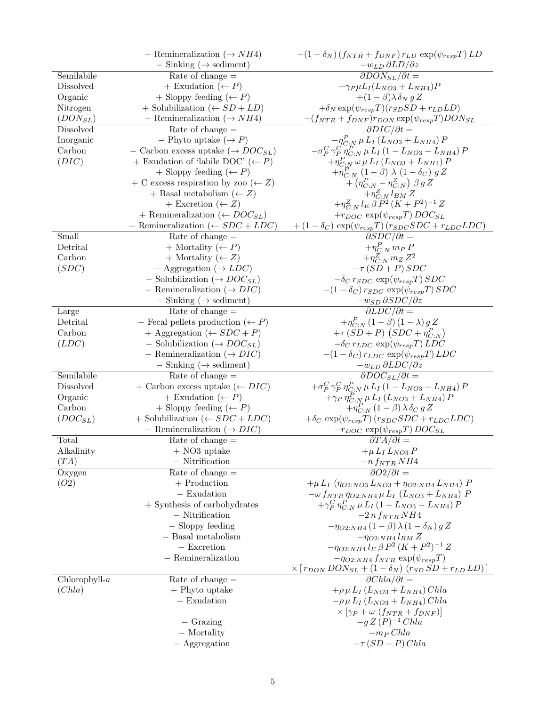|                 | - Remineralization ( $\rightarrow NH4$ )          | $-(1 - \delta_N)(f_{NTR} + f_{DNF})r_{LD} \exp(\psi_{resp}T) LD$                                                                                                       |
|-----------------|---------------------------------------------------|------------------------------------------------------------------------------------------------------------------------------------------------------------------------|
|                 | $-$ Sinking ( $\rightarrow$ sediment)             | $-w_{LD} \partial LD/\partial z$                                                                                                                                       |
| Semilabile      | Rate of change $=$                                | $\partial$ <i>DON<sub>SL</sub></i> $\partial$ <i>t</i> =                                                                                                               |
| Dissolved       | + Exudation $(\leftarrow P)$                      | $+\gamma_P \mu L_I(L_{NO3} + L_{NH4})P$                                                                                                                                |
| Organic         | $+$ Sloppy feeding $\leftarrow P$ )               | $+(1-\beta)\lambda \delta_N g Z$                                                                                                                                       |
| Nitrogen        | + Solubilization ( $\leftarrow SD + LD$ )         | $+\delta_N \exp(\psi_{resp} T)(r_{SD} SD + r_{LD} LD)$                                                                                                                 |
| $(DON_{SL})$    | - Remineralization ( $\rightarrow NH4$ )          | $-(f_{NTR} + f_{DNF})r_{DON} \exp(\psi_{resp}T)DON_{SL}$                                                                                                               |
| Dissolved       | Rate of change $=$                                | $\partial DIC/\partial t =$                                                                                                                                            |
| Inorganic       | -- Phyto uptake $(\rightarrow P)$                 |                                                                                                                                                                        |
| Carbon          | - Carbon excess uptake ( $\rightarrow DOC_{SL}$ ) | $\begin{array}{c} -\eta^P_{C:N}\,\mu\,L_I\left(L_{NO3}+L_{NH4}\right)P\\ -\sigma^C_P\,\gamma^P_{P}\,\eta^P_{C:N}\,\mu\,L_I\left(1-L_{NO3}-L_{NH4}\right)P \end{array}$ |
| (DIC)           | + Exudation of 'labile DOC' $(\leftarrow P)$      | $+\eta_{C;N}^{P} \omega \mu L_{I} (L_{NO3} + L_{NH4}) P$                                                                                                               |
|                 | + Sloppy feeding $(\leftarrow P)$                 | $+\eta_{C:N}^P(1-\beta)\lambda(1-\delta_C)gZ$                                                                                                                          |
|                 | + C excess respiration by zoo ( $\leftarrow$ Z)   | $+\left(\eta_{C:N}^P - \eta_{C:N}^Z\right)\,\beta\,g\,Z$                                                                                                               |
|                 | + Basal metabolism $(\leftarrow Z)$               | $+\eta^Z_{C:N} l_{BM} Z$                                                                                                                                               |
|                 | + Excretion $(\leftarrow Z)$                      | $+ \eta^Z_{C:N} \, l_E \, \beta \, P^2 \, (K+P^2)^{-1} \, Z$                                                                                                           |
|                 | + Remineralization ( $\leftarrow DOC_{SL}$ )      | $+r_{DOC} \exp(\psi_{resp} T) DOC_{SL}$                                                                                                                                |
|                 | + Remineralization ( $\leftarrow SDC + LDC$ )     | $+(1-\delta_C) \exp(\psi_{resp} T) (r_{SDC} SDC + r_{LDC} LDC)$                                                                                                        |
| Small           | Rate of change $=$                                | $\partial SDC/\partial \overline{t} =$                                                                                                                                 |
| Detrital        | + Mortality $(\leftarrow P)$                      | $+\eta_{C:N}^P m_P P$                                                                                                                                                  |
| Carbon          | + Mortality $(\leftarrow Z)$                      | $+\eta^Z_{C:N} m_Z Z^2$                                                                                                                                                |
| (SDC)           | $-$ Aggregation ( $\rightarrow LDC$ )             | $-\tau (SD + P) SDC$                                                                                                                                                   |
|                 | - Solubilization ( $\rightarrow DOC_{SL}$ )       | $-\delta_C r_{SDC} \exp(\psi_{resp} T) SDC$                                                                                                                            |
|                 | - Remineralization ( $\rightarrow DIC$ )          | $-(1-\delta_C) r_{SDC} \exp(\psi_{resp} T) SDC$                                                                                                                        |
|                 | $-$ Sinking ( $\rightarrow$ sediment)             | $-w_{SD} \partial SDC/\partial z$                                                                                                                                      |
| Large           | Rate of change $=$                                | $\partial LDC/\partial t=$                                                                                                                                             |
| Detrital        | + Fecal pellets production $(\leftarrow P)$       | $+\eta_{C:N}^P(1-\beta)(1-\lambda)gZ$                                                                                                                                  |
| Carbon          | + Aggregation ( $\leftarrow SDC + P$ )            | $+\tau(SD+P)(SDC+\eta^P_{C:N})$                                                                                                                                        |
| (LDC)           | - Solubilization ( $\rightarrow DOC_{SL}$ )       | $-\delta_C r_{LDC} \exp(\psi_{resp} T) LDC$                                                                                                                            |
|                 | - Remineralization ( $\rightarrow DIC$ )          | $-(1 - \delta_C) r_{LDC} \exp(\psi_{resp} T) LDC$                                                                                                                      |
|                 | $-$ Sinking ( $\rightarrow$ sediment)             | $-w_{LD} \partial LDC/\partial z$                                                                                                                                      |
| Semilabile      | Rate of change $=$                                | $\overline{\partial DOC_{SL}}/\partial t =$                                                                                                                            |
| Dissolved       | + Carbon excess uptake $(\leftarrow DIC)$         | $+ \sigma^C_P \, \gamma^C_P \, \eta^P_{C:N} \, \mu \, L_I \left( 1 - L_{NO3} - L_{NH4} \right) P$                                                                      |
| Organic         | + Exudation $(\leftarrow P)$                      | $+\gamma_P \eta_{C:\bar{N}}^P \mu L_I (L_{NO3} + L_{NH4}) P$                                                                                                           |
| Carbon          | + Sloppy feeding $(\leftarrow P)$                 | $+\eta^P_{C\, N}(1-\beta)\,\lambda\,\delta_C\,g\,Z$                                                                                                                    |
| $(DOC_{SL})$    | $+$ Solubilization ( $\leftarrow SDC + LDC$ )     | $+\delta_C \exp(\psi_{resp}T)(r_{SDC}SDC + r_{LDC}LDC)$                                                                                                                |
|                 | - Remineralization ( $\rightarrow DIC$ )          | $-r_{DOC} \exp(\psi_{resp} T) DOC_{SL}$                                                                                                                                |
| Total           | Rate of change $=$                                | $\partial T A/\partial t=$                                                                                                                                             |
| Alkalinity      | $+$ NO3 uptake                                    | $+\mu\,L_I\,L_{NO3}\,P$                                                                                                                                                |
| (TA)            | $-$ Nitrification                                 | $-n f_{NTR} N H4$                                                                                                                                                      |
| Oxygen          | Rate of change $=$                                | $\overline{\partial O2/\partial t} =$                                                                                                                                  |
| (O2)            | $+$ Production                                    | $+\mu L_I (\eta_{O2:NO3} L_{NO3} + \eta_{O2:NH4} L_{NH4}) P$                                                                                                           |
|                 | $-$ Exudation                                     | $-\omega f_{NTR} \eta_{O2:NH4} \mu L_I (L_{NO3} + L_{NH4}) P$                                                                                                          |
|                 | $+$ Synthesis of carbohydrates                    | $+\gamma_P^C \eta_{C\cdot N}^P \mu L_I (1 - L_{NO3} - L_{NH4}) P$                                                                                                      |
|                 | $-$ Nitrification                                 | $-2n f_{NTR} NH4$                                                                                                                                                      |
|                 | - Sloppy feeding                                  | $-\eta_{O2:NH4}(1-\beta)\lambda(1-\delta_N)gZ$                                                                                                                         |
|                 | $-$ Basal metabolism                              | $-\eta_{O2:NH4} l_{BM} Z$                                                                                                                                              |
|                 | $-$ Excretion                                     | $-\eta_{O2:NH4} l_E \beta P^2 (K+P^2)^{-1} Z$                                                                                                                          |
|                 | $-$ Remineralization                              | $-\eta_{O2:NH4} f_{NTR} \exp(\psi_{resp} T)$                                                                                                                           |
|                 |                                                   | $\frac{\times [r_{DON}$ $DON_{SL} + (1 - \delta_N) (r_{SD} SD + r_{LD} LD)]}{\partial Chla/\partial t} =$                                                              |
| $Chlorophyll-a$ | Rate of change $=$                                |                                                                                                                                                                        |
| (Chla)          | $+$ Phyto uptake                                  | $+\rho \mu L_I (L_{NO3} + L_{NH4}) Chla$                                                                                                                               |
|                 | $-$ Exudation                                     | $-\rho \mu L_I (L_{NO3} + L_{NH4})$ Chla                                                                                                                               |
|                 |                                                   | $\times \left[ \gamma_P + \omega \left( f_{NTR} + f_{DNF} \right) \right]$                                                                                             |
|                 | $-$ Grazing                                       | $-g Z (P)$ <sup>-1</sup> Chla                                                                                                                                          |
|                 | - Mortality                                       | $-m_P Chla$                                                                                                                                                            |
|                 | $-$ Aggregation                                   | $-\tau (SD + P)$ Chla                                                                                                                                                  |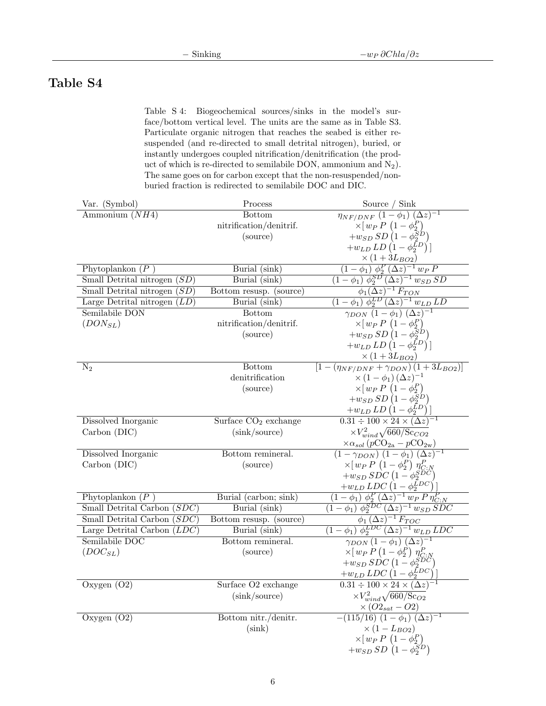### Table S4

Table S 4: Biogeochemical sources/sinks in the model's surface/bottom vertical level. The units are the same as in Table S3. Particulate organic nitrogen that reaches the seabed is either resuspended (and re-directed to small detrital nitrogen), buried, or instantly undergoes coupled nitrification/denitrification (the product of which is re-directed to semilabile DON, ammonium and  $N_2$ ). The same goes on for carbon except that the non-resuspended/nonburied fraction is redirected to semilabile DOC and DIC.

| Var. (Symbol)                                    | $\mathop{\rm Process}\nolimits$ | Source / Sink                                                                                                                             |
|--------------------------------------------------|---------------------------------|-------------------------------------------------------------------------------------------------------------------------------------------|
| Ammonium $(NH4)$                                 | <b>Bottom</b>                   | $\eta_{N\overline{F}/DN\overline{F}}\overline{(1-\phi_1)\ (\Delta z)^{-1}}$                                                               |
|                                                  | nitrification/denitrif.         | $\times [w_P P (1 - \phi_2^P)]$                                                                                                           |
|                                                  | (source)                        | $+w_{SD} SD\left(1-\phi_2^{SD}\right)$                                                                                                    |
|                                                  |                                 | $+w_{LD}LD(1-\phi_2^{LD})$ ]                                                                                                              |
|                                                  |                                 | $\times (1+3L_{BO2})$                                                                                                                     |
| Phytoplankon $(P)$                               | Burial (sink)                   | $(1 - \phi_1) \phi_2^P (\Delta z)^{-1} w_P P$                                                                                             |
| Small Detrital nitrogen $(SD)$                   | Burial (sink)                   | $(1 - \phi_1) \phi_2^{SD} (\Delta z)^{-1} w_{SD} SD$                                                                                      |
| Small Detrital nitrogen $(SD)$                   | Bottom resusp. (source)         | $\frac{\phi_1(\Delta z)^{-1} F_{TON}}{(1 - \phi_1) \phi_2^{LD} (\Delta z)^{-1} w_{LD} LD}$<br>$\gamma_{DON} (1 - \phi_1) (\Delta z)^{-1}$ |
| Large Detrital nitrogen $(LD)$                   | Burial(sink)                    |                                                                                                                                           |
| Semilabile DON                                   | <b>Bottom</b>                   |                                                                                                                                           |
| $(DON_{SL})$                                     | nitrification/denitrif.         | $\times [w_P P (1 - \phi_2^P)]$                                                                                                           |
|                                                  | (source)                        | $+w_{SD} SD\left(1-\phi_2^{SD}\right)$                                                                                                    |
|                                                  |                                 | $+w_{LD}LD(1-\phi_2^{LD})$                                                                                                                |
|                                                  | <b>Bottom</b>                   | $\times (1+3L_{BO2})$                                                                                                                     |
| $\rm N_2$                                        | denitrification                 | $[1-(\eta_{NF/DNF}+\gamma_{DON})(1+3L_{BO2})]$<br>$\times (1-\phi_1) (\Delta z)^{-1}$                                                     |
|                                                  | (source)                        |                                                                                                                                           |
|                                                  |                                 | $\times [w_P P (1 - \phi_2^P) + w_{SD} SD (1 - \phi_2^{SD})]$                                                                             |
|                                                  |                                 | $+w_{LD}LD(1-\phi_2^{LD})$ ]                                                                                                              |
| Dissolved Inorganic                              | Surface $CO2$ exchange          | $0.31 \div 100 \times 24 \times (\Delta z)^{-1}$                                                                                          |
| Carbon (DIC)                                     | (sink/source)                   | $\times V_{wind}^2 \sqrt{660/\text{Sc}_{CO2}}$                                                                                            |
|                                                  |                                 | $\times\alpha_{sol}\left(p\mathrm{CO}_{2\mathrm{a}}-p\mathrm{CO}_{2\mathrm{w}}\right)$                                                    |
| Dissolved Inorganic                              | Bottom remineral.               | $(1 - \gamma_{DON}) (1 - \phi_1) (\Delta z)^{-1}$                                                                                         |
| Carbon (DIC)                                     | (source)                        | $\times [w_P P (1 - \phi_2^P) \eta_{C:N}^P]$                                                                                              |
|                                                  |                                 | $+w_{SD} SDC (1-\phi_2^{SDC})$                                                                                                            |
|                                                  |                                 | $+w_{LD}$ $LDC(1-\phi_2^{LDC})$                                                                                                           |
| Phytoplankon $(P)$                               | Burial (carbon; sink)           | $\frac{(1-\phi_1) \phi_2^P (\Delta z)^{-1} w_P P \eta_{C:N}^P}{(1-\phi_1) \phi_2^{SDC} (\Delta z)^{-1} w_{SD} SDC}$                       |
| Small Detrital Carbon<br>(SDC)                   | Burial (sink)                   |                                                                                                                                           |
| Small Detrital Carbon<br>(SDC)                   | Bottom resusp. (source)         | $\phi_1 (\Delta z)^{-1} F_{TOC}$                                                                                                          |
| Large Detrital $\overline{\text{Carbon } (LDC)}$ | Burial (sink)                   | $(1 - \phi_1) \phi_2^{LDC} (\Delta z)^{-1} w_{LD} LDC$                                                                                    |
| Semilabile DOC                                   | Bottom remineral.               | $\gamma_{DON}(1-\phi_1)(\Delta z)^{-1}$                                                                                                   |
| $(DOC_{SL})$                                     | (source)                        | $\times [w_P P (1 - \phi_2^P) \eta_{C:N}^P]$                                                                                              |
|                                                  |                                 | $+w_{SD} SDC\left(1-\phi_2^{SDC}\right)$                                                                                                  |
|                                                  |                                 | $+w_{LD} LDC \left(1-\phi_2^{LDC}\right)$                                                                                                 |
| Oxygen $(02)$                                    | Surface O2 exchange             | $0.31 \div 100 \times 24 \times (\Delta z)^{-1}$                                                                                          |
|                                                  | (sink/source)                   | $\times V_{wind}^2 \sqrt{660/\text{Sc}_{O2}}$                                                                                             |
|                                                  |                                 | $\times (O2_{sat}-O2)$                                                                                                                    |
| Oxygen $(02)$                                    | Bottom nitr./denitr.            | $\frac{1}{(115/16)} \frac{1}{(1-\phi_1)} (\Delta z)^{-1}$                                                                                 |
|                                                  | (sink)                          | $\times (1 - L_{BO2})$                                                                                                                    |
|                                                  |                                 | $\times [w_P P (1 - \phi_2^P)]$                                                                                                           |
|                                                  |                                 | $+w_{SD} SD(1-\phi_2^{SD})$                                                                                                               |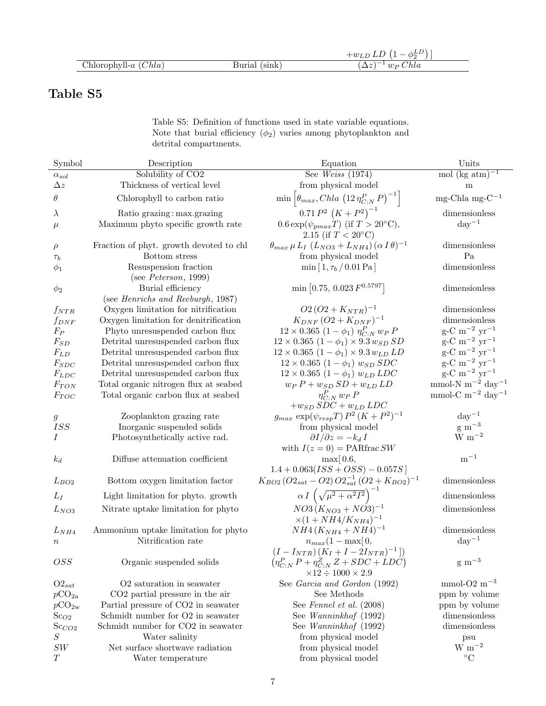|                         |                  | ധച<br>$-w_{L}$                           |
|-------------------------|------------------|------------------------------------------|
| Chlorophyll- $a$ (Chla) | (sink)<br>Burial | Chla<br>$\cdot w_P$ $\cup$<br>$\Delta z$ |

## Table S5

Table S5: Definition of functions used in state variable equations. Note that burial efficiency  $(\phi_2)$  varies among phytoplankton and detrital compartments.

| Symbol             | Description                                                | Equation                                                                                                 | Units                                                              |
|--------------------|------------------------------------------------------------|----------------------------------------------------------------------------------------------------------|--------------------------------------------------------------------|
| $\alpha_{sol}$     | Solubility of CO <sub>2</sub>                              | See Weiss $(1974)$                                                                                       | mol (kg atm) <sup><math>-1</math></sup>                            |
| $\Delta z$         | Thickness of vertical level                                | from physical model                                                                                      | m                                                                  |
| $\theta$           | Chlorophyll to carbon ratio                                | $\min\left[\theta_{max}, Chla\left(12\,\eta_{C:N}^P\,P\right)^{-1}\right]$                               | mg-Chla mg- $C^{-1}$                                               |
| $\lambda$          | Ratio grazing: max.grazing                                 | $0.71 P^2 (K+P^2)^{-1}$                                                                                  | dimensionless                                                      |
| $\mu$              | Maximum phyto specific growth rate                         | $0.6 \exp(\psi_{pmax} T)$ (if $T > 20$ °C),<br>2.15 (if $T < 20^{\circ}$ C)                              | $\rm day^{-1}$                                                     |
| $\rho$             | Fraction of phyt. growth devoted to chl                    | $\theta_{max} \mu L_I (L_{NO3} + L_{NH4}) (\alpha I \theta)^{-1}$                                        | dimensionless                                                      |
| $\tau_b$           | Bottom stress                                              | from physical model                                                                                      | Pa                                                                 |
| $\phi_1$           | Resuspension fraction<br>(see $Peterson$ , 1999)           | $\min[1, \tau_b/0.01\,\text{Pa}]$                                                                        | dimensionless                                                      |
|                    | Burial efficiency                                          | $\min\left[0.75, 0.023 F^{0.5797}\right]$                                                                | dimensionless                                                      |
| $\phi_2$           | (see <i>Henrichs and Reeburgh</i> , 1987)                  |                                                                                                          |                                                                    |
|                    | Oxygen limitation for nitrification                        | $O2 (O2 + K_{NTR})^{-1}$                                                                                 | dimensionless                                                      |
| $f_{NTR}$          | Oxygen limitation for denitrification                      | $K_{DNF} (O2 + K_{DNF})^{-1}$                                                                            | dimensionless                                                      |
| $f_{DNF}$<br>$F_P$ | Phyto unresuspended carbon flux                            | $12 \times 0.365$ $(1 - \phi_1)$ $\eta_{C}^P$ $w_P P$                                                    | $\rm g\text{-}C~\rm m^{-2}~\rm yr^{-1}$                            |
| $F_{SD}$           | Detrital unresuspended carbon flux                         | $12 \times 0.365$ $(1 - \phi_1) \times 9.3 w_{SD} SD$                                                    | $\rm g\text{-}C~\rm m^{-2}~\rm yr^{-1}$                            |
| $F_{LD}$           | Detrital unresuspended carbon flux                         | $12 \times 0.365$ $(1 - \phi_1) \times 9.3 w_{LD} LD$                                                    | $g$ -C m <sup>-2</sup> yr <sup>-1</sup>                            |
| $F_{SDC}$          | Detrital unresuspended carbon flux                         | $12 \times 0.365$ $(1 - \phi_1)$ $w_{SD}$ $SDC$                                                          | $\rm g\text{-}C~m^{-2}~yr^{-1}$                                    |
| $F_{LDC}$          | Detrital unresuspended carbon flux                         | $12 \times 0.365$ $(1 - \phi_1)$ $w_{LD}$ LDC                                                            | $\rm g\text{-}C~m^{-2}~yr^{-1}$                                    |
| $F_{TON}$          | Total organic nitrogen flux at seabed                      | $w_P P + w_{SD} SD + w_{LD} LD$                                                                          | mmol-N $m^{-2}$ day <sup>-1</sup>                                  |
|                    | Total organic carbon flux at seabed                        | $\eta_{C:N}^P w_P P$                                                                                     | mmol-C m <sup><math>-2</math></sup> day <sup><math>-1</math></sup> |
| $F_{TOC}$          |                                                            | $+w_{SD} SDC + w_{LD} LDC$                                                                               |                                                                    |
| $\boldsymbol{g}$   | Zooplankton grazing rate                                   | $g_{max} \exp(\psi_{resp} T) P^2 (K + P^2)^{-1}$                                                         | $\mathrm{day}^{-1}$                                                |
| <b>ISS</b>         | Inorganic suspended solids                                 | from physical model                                                                                      | $\rm g~m^{-3}$                                                     |
| Ι                  | Photosynthetically active rad.                             | $\partial I/\partial z = -k_d I$                                                                         | $\rm W~m^{-2}$                                                     |
|                    |                                                            | with $I(z=0) = PAR$ frac SW                                                                              |                                                                    |
| $k_d$              | Diffuse attenuation coefficient                            | $\max[0.6,$                                                                                              | $m^{-1}$                                                           |
|                    |                                                            | $1.4 + 0.063(ISS + OSS) - 0.057S$                                                                        |                                                                    |
| $L_{BO2}$          | Bottom oxygen limitation factor                            | $K_{BO2} (O2_{sat} - O2) O2_{sat}^{-1} (O2 + K_{BO2})^{-1}$                                              | dimensionless                                                      |
| $L_I$              | Light limitation for phyto. growth                         | $\alpha I \left( \sqrt{\mu^2 + \alpha^2 I^2} \right)^{-1}$                                               | dimensionless                                                      |
| $L_{NO3}$          | Nitrate uptake limitation for phyto                        | $NO3(K_{NO3}+NO3)^{-1}$                                                                                  | dimensionless                                                      |
|                    |                                                            | $\times (1 + NH4/K_{NH4})^{-1}$<br>$NH4(K_{NH4}+NH4)^{-1}$                                               | dimensionless                                                      |
| $L_{NH4}$          | Ammonium uptake limitation for phyto<br>Nitrification rate |                                                                                                          | $\rm day^{-1}$                                                     |
| $\, n$             |                                                            | $n_{max}(1 - \max[0,$                                                                                    |                                                                    |
| OSS <sub></sub>    | Organic suspended solids                                   | $(I - I_{NTR}) (K_I + I - 2I_{NTR})^{-1})$<br>$\left(\eta_{C:N}^P P + \eta_{C:N}^Z Z + SDC + LDC\right)$ | $\rm g~m^{-3}$                                                     |
|                    |                                                            | $\times 12 \div 1000 \times 2.9$                                                                         |                                                                    |
| $O2_{sat}$         | O <sub>2</sub> saturation in seawater                      | See Garcia and Gordon (1992)                                                                             | mmol-O2 $\mathrm{m}^{-3}$                                          |
| $pCO_{2a}$         | CO <sub>2</sub> partial pressure in the air                | See Methods                                                                                              | ppm by volume                                                      |
| $pCO_{2w}$         | Partial pressure of CO2 in seawater                        | See Fennel et al. (2008)                                                                                 | ppm by volume                                                      |
| $Sc_{O2}$          | Schmidt number for O2 in seawater                          | See Wanninkhof (1992)                                                                                    | dimensionless                                                      |
| $Sc_{CO2}$         | Schmidt number for CO2 in seawater                         | See Wanninkhof (1992)                                                                                    | dimensionless                                                      |
| $\cal S$           | Water salinity                                             | from physical model                                                                                      | psu                                                                |
| $\cal{SW}$         | Net surface shortwave radiation                            | from physical model                                                                                      | $\rm W~m^{-2}$                                                     |
| T                  | Water temperature                                          | from physical model                                                                                      | $\rm ^{\circ}C$                                                    |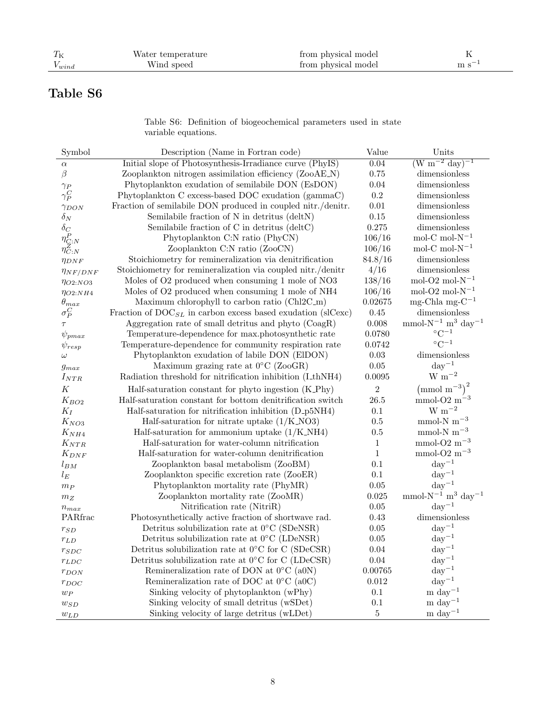# Table S6

Table S6: Definition of biogeochemical parameters used in state variable equations.

| Symbol            | Description (Name in Fortran code)                                      | Value          | Units                                           |
|-------------------|-------------------------------------------------------------------------|----------------|-------------------------------------------------|
| $\alpha$          | Initial slope of Photosynthesis-Irradiance curve (PhyIS)                | 0.04           | $(W m^{-2} day)^{-1}$                           |
| $\beta$           | Zooplankton nitrogen assimilation efficiency (ZooAE_N)                  | 0.75           | dimensionless                                   |
| $\gamma_P$        | Phytoplankton exudation of semilabile DON (EsDON)                       | 0.04           | dimensionless                                   |
| $\gamma_P^C$      | Phytoplankton C excess-based DOC exudation (gammaC)                     | 0.2            | dimensionless                                   |
| $\gamma_{DON}$    | Fraction of semilabile DON produced in coupled nitr./denitr.            | 0.01           | dimensionless                                   |
| $\delta_N$        | Semilabile fraction of N in detritus (deltN)                            | $0.15\,$       | dimensionless                                   |
| $\delta_C$        | Semilabile fraction of C in detritus (deltC)                            | 0.275          | dimensionless                                   |
| $\eta_{C:N}^P$    | Phytoplankton C:N ratio (PhyCN)                                         | 106/16         | mol-C mol- $N^{-1}$                             |
| $\eta^Z_{C:N}$    | Zooplankton C:N ratio (ZooCN)                                           | 106/16         | mol-C mol- $N^{-1}$                             |
| $\eta_{DNF}$      | Stoichiometry for remineralization via denitrification                  | 84.8/16        | dimensionless                                   |
| $\eta_{N F/DN F}$ | Stoichiometry for remineralization via coupled nitr./denitr             | 4/16           | dimensionless                                   |
| $\eta_{O2:NO3}$   | Moles of O2 produced when consuming 1 mole of NO3                       | 138/16         | mol-O2 mol- $N^{-1}$                            |
| $\eta_{O2:NH4}$   | Moles of O2 produced when consuming 1 mole of NH4                       | 106/16         | mol-O2 mol- $N^{-1}$                            |
| $\theta_{max}$    | Maximum chlorophyll to carbon ratio (Chl2C_m)                           | 0.02675        | mg-Chla mg- $C^{-1}$                            |
| $\sigma_P^C$      | Fraction of $\text{DOC}_{SL}$ in carbon excess based exudation (slCexc) | 0.45           | dimensionless                                   |
| $\tau$            | Aggregation rate of small detritus and phyto (CoagR)                    | 0.008          | mmol- $N^{-1}$ m <sup>3</sup> day <sup>-1</sup> |
| $\psi_{pmax}$     | Temperature-dependence for max.photosynthetic rate                      | 0.0780         | $\rm ^{\circ}C^{-1}$                            |
| $\psi_{resp}$     | Temperature-dependence for community respiration rate                   | 0.0742         | $\circ$ C <sup>-1</sup>                         |
| $\omega$          | Phytoplankton exudation of labile DON (ElDON)                           | 0.03           | dimensionless                                   |
| $g_{max}$         | Maximum grazing rate at $0^{\circ}$ C (ZooGR)                           | 0.05           | $day^{-1}$                                      |
| $I_{NTR}$         | Radiation threshold for nitrification inhibition (LthNH4)               | 0.0095         | $W~m^{-2}$                                      |
| $\cal K$          | Half-saturation constant for phyto ingestion (K_Phy)                    | $\overline{2}$ | $\left(\text{mmol m}^{-3}\right)^2$             |
| $K_{BO2}$         | Half-saturation constant for bottom denitrification switch              | 26.5           | mmol-O2 $m^{-3}$                                |
| $K_I$             | Half-saturation for nitrification inhibition (D_p5NH4)                  | $0.1\,$        | $\rm W~m^{-2}$                                  |
| $K_{NO3}$         | Half-saturation for nitrate uptake $(1/K.NO3)$                          | 0.5            | mmol-N $m^{-3}$                                 |
| $K_{NH4}$         | Half-saturation for ammonium uptake $(1/K_N)$                           | 0.5            | mmol-N $m^{-3}$                                 |
| $K_{NTR}$         | Half-saturation for water-column nitrification                          | $\mathbf{1}$   | mmol-O2 $\mathrm{m}^{-3}$                       |
| $K_{DNF}$         | Half-saturation for water-column denitrification                        | $\mathbf{1}$   | mmol-O2 $\mathrm{m}^{-3}$                       |
| $l_{BM}$          | Zooplankton basal metabolism (ZooBM)                                    | 0.1            | $day^{-1}$                                      |
| $l_E$             | Zooplankton specific excretion rate (ZooER)                             | $0.1\,$        | $\mathrm{day}^{-1}$                             |
| $m_P$             | Phytoplankton mortality rate (PhyMR)                                    | 0.05           | $day^{-1}$                                      |
| $m_{\mathbb{Z}}$  | Zooplankton mortality rate (ZooMR)                                      | 0.025          | mmol- $N^{-1}$ m <sup>3</sup> day <sup>-1</sup> |
| $n_{max}$         | Nitrification rate (NitriR)                                             | 0.05           | $\mathrm{day}^{-1}$                             |
| PARfrac           | Photosynthetically active fraction of shortwave rad.                    | 0.43           | dimensionless                                   |
| $r_{SD}$          | Detritus solubilization rate at $0^{\circ}$ C (SDeNSR)                  | 0.05           | $\rm day^{-1}$                                  |
| $r_{LD}$          | Detritus solubilization rate at $0^{\circ}$ C (LDeNSR)                  | 0.05           | $\mathrm{day}^{-1}$                             |
| $r_{SDC}$         | Detritus solubilization rate at $0^{\circ}$ C for C (SDeCSR)            | 0.04           | $day^{-1}$                                      |
| $r_{LDC}$         | Detritus solubilization rate at $0^{\circ}$ C for C (LDeCSR)            | 0.04           | $\rm day^{-1}$                                  |
| $r_{DON}$         | Remineralization rate of DON at $0^{\circ}$ C (a0N)                     | 0.00765        | $day^{-1}$                                      |
| $r_{DOC}$         | Remineralization rate of DOC at $0^{\circ}$ C (a0C)                     | 0.012          | $\mathrm{day}^{-1}$                             |
| $w_P$             | Sinking velocity of phytoplankton (wPhy)                                | 0.1            | $\rm m\ day^{-1}$                               |
| $w_{SD}$          | Sinking velocity of small detritus (wSDet)                              | $0.1\,$        | m day $^{-1}$                                   |
| $w_{LD}$          | Sinking velocity of large detritus (wLDet)                              | $\bf 5$        | $\rm m$ $\rm day^{-1}$                          |